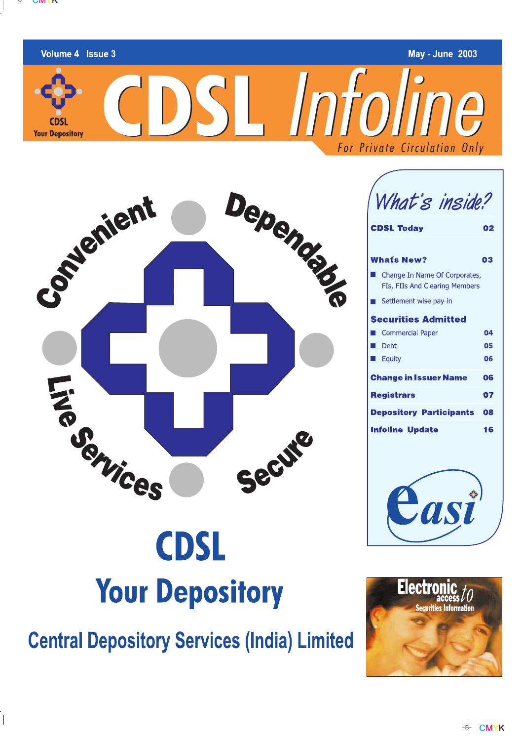

Volume 4 Issue 3

**CDSL Your Depository** 

 $\overline{\phantom{a}}$ 

**May - June 2003** 

CDSL Infoline For Private Circulation Only



What's inside?

| <b>CDSL Today</b>                                               |    |  |  |  |
|-----------------------------------------------------------------|----|--|--|--|
|                                                                 |    |  |  |  |
| <b>Whats New?</b>                                               | 03 |  |  |  |
| Change In Name Of Corporates,<br>FIs, FIIs And Clearing Members |    |  |  |  |
| Settlement wise pay-in                                          |    |  |  |  |
| <b>Securities Admitted</b>                                      |    |  |  |  |
| <b>Commercial Paper</b>                                         | 04 |  |  |  |
| Debt                                                            | 05 |  |  |  |
| Equity                                                          | 06 |  |  |  |
| <b>Change in Issuer Name</b>                                    | 06 |  |  |  |
| <b>Registrars</b>                                               | 07 |  |  |  |
| Depository Participants                                         | 08 |  |  |  |
| <b>Infoline Update</b>                                          | 16 |  |  |  |



# **CDSL Your Depository**

**Central Depository Services (India) Limited** 

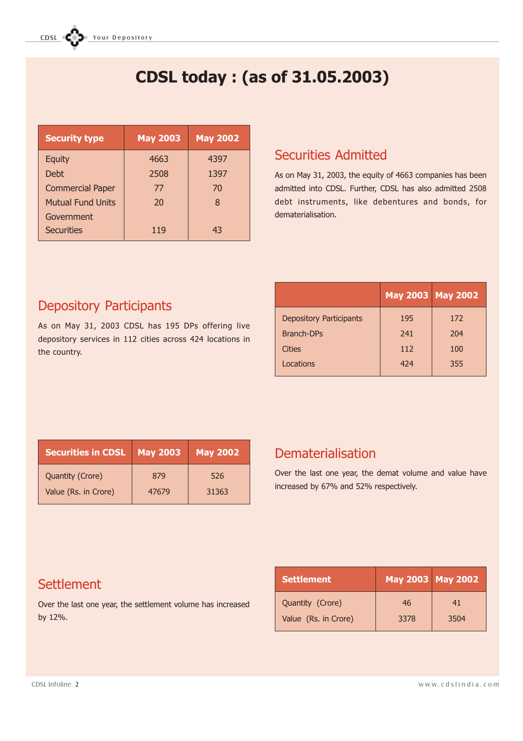# CDSL today : (as of 31.05.2003)

| <b>Security type</b>     | <b>May 2003</b> | <b>May 2002</b> |
|--------------------------|-----------------|-----------------|
| <b>Equity</b>            | 4663            | 4397            |
| Debt                     | 2508            | 1397            |
| <b>Commercial Paper</b>  | 77              | 70              |
| <b>Mutual Fund Units</b> | 20              | 8               |
| Government               |                 |                 |
| <b>Securities</b>        | 119             | 43              |

### Securities Admitted

As on May 31, 2003, the equity of 4663 companies has been admitted into CDSL. Further, CDSL has also admitted 2508 debt instruments, like debentures and bonds, for dematerialisation.

## Depository Participants

As on May 31, 2003 CDSL has 195 DPs offering live depository services in 112 cities across 424 locations in the country.

|                                | May 2003 May 2002 |     |
|--------------------------------|-------------------|-----|
| <b>Depository Participants</b> | 195               | 172 |
| <b>Branch-DPs</b>              | 241               | 204 |
| Cities                         | 112               | 100 |
| Locations                      | 424               | 355 |

| <b>Securities in CDSL</b> | <b>May 2003</b> | <b>May 2002</b> |
|---------------------------|-----------------|-----------------|
| Quantity (Crore)          | 879             | 526             |
| Value (Rs. in Crore)      | 47679           | 31363           |

### Dematerialisation

Over the last one year, the demat volume and value have increased by 67% and 52% respectively.

# **Settlement**

Over the last one year, the settlement volume has increased by 12%.

| Settlement           | <b>May 2003 May 2002</b> |      |
|----------------------|--------------------------|------|
| Quantity (Crore)     | 46                       | 41   |
| Value (Rs. in Crore) | 3378                     | 3504 |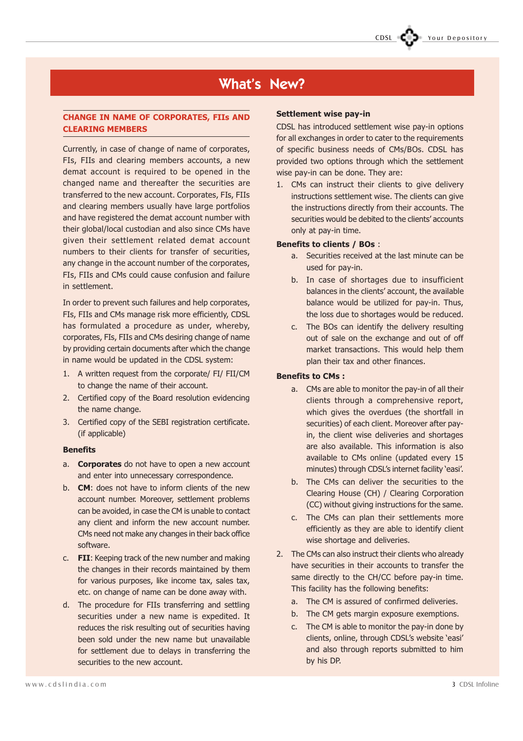### Your Depository

### What's New?

#### CHANGE IN NAME OF CORPORATES, FIIs AND CLEARING MEMBERS

Currently, in case of change of name of corporates, FIs, FIIs and clearing members accounts, a new demat account is required to be opened in the changed name and thereafter the securities are transferred to the new account. Corporates, FIs, FIIs and clearing members usually have large portfolios and have registered the demat account number with their global/local custodian and also since CMs have given their settlement related demat account numbers to their clients for transfer of securities, any change in the account number of the corporates, FIs, FIIs and CMs could cause confusion and failure in settlement.

In order to prevent such failures and help corporates, FIs, FIIs and CMs manage risk more efficiently, CDSL has formulated a procedure as under, whereby, corporates, FIs, FIIs and CMs desiring change of name by providing certain documents after which the change in name would be updated in the CDSL system:

- 1. A written request from the corporate/ FI/ FII/CM to change the name of their account.
- 2. Certified copy of the Board resolution evidencing the name change.
- 3. Certified copy of the SEBI registration certificate. (if applicable)

#### Benefits

- a. **Corporates** do not have to open a new account and enter into unnecessary correspondence.
- b. **CM**: does not have to inform clients of the new account number. Moreover, settlement problems can be avoided, in case the CM is unable to contact any client and inform the new account number. CMs need not make any changes in their back office software.
- c. FII: Keeping track of the new number and making the changes in their records maintained by them for various purposes, like income tax, sales tax, etc. on change of name can be done away with.
- d. The procedure for FIIs transferring and settling securities under a new name is expedited. It reduces the risk resulting out of securities having been sold under the new name but unavailable for settlement due to delays in transferring the securities to the new account.

#### Settlement wise pay-in

CDSL has introduced settlement wise pay-in options for all exchanges in order to cater to the requirements of specific business needs of CMs/BOs. CDSL has provided two options through which the settlement wise pay-in can be done. They are:

1. CMs can instruct their clients to give delivery instructions settlement wise. The clients can give the instructions directly from their accounts. The securities would be debited to the clients' accounts only at pay-in time.

#### Benefits to clients / BOs :

- a. Securities received at the last minute can be used for pay-in.
- b. In case of shortages due to insufficient balances in the clients' account, the available balance would be utilized for pay-in. Thus, the loss due to shortages would be reduced.
- c. The BOs can identify the delivery resulting out of sale on the exchange and out of off market transactions. This would help them plan their tax and other finances.

#### Benefits to CMs :

- a. CMs are able to monitor the pay-in of all their clients through a comprehensive report, which gives the overdues (the shortfall in securities) of each client. Moreover after payin, the client wise deliveries and shortages are also available. This information is also available to CMs online (updated every 15 minutes) through CDSL's internet facility 'easi'.
- b. The CMs can deliver the securities to the Clearing House (CH) / Clearing Corporation (CC) without giving instructions for the same.
- c. The CMs can plan their settlements more efficiently as they are able to identify client wise shortage and deliveries.
- 2. The CMs can also instruct their clients who already have securities in their accounts to transfer the same directly to the CH/CC before pay-in time. This facility has the following benefits:
	- a. The CM is assured of confirmed deliveries.
	- b. The CM gets margin exposure exemptions.
	- c. The CM is able to monitor the pay-in done by clients, online, through CDSL's website 'easi' and also through reports submitted to him by his DP.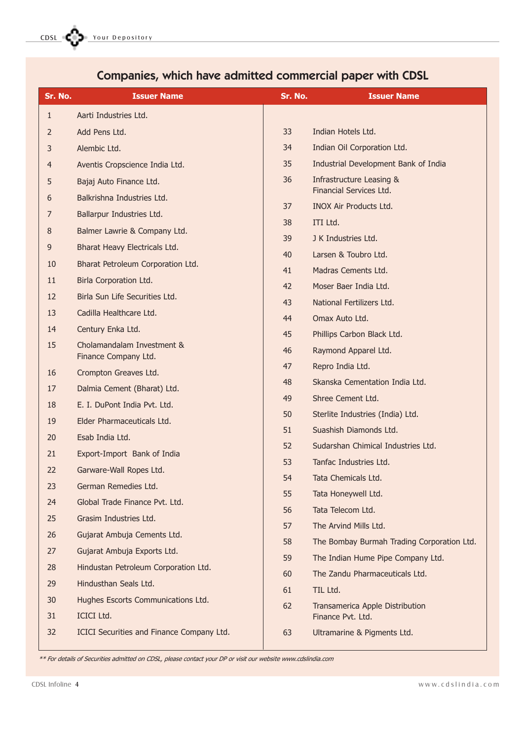| Sr. No.      | <b>Issuer Name</b>                        | Sr. No.  | <b>Issuer Name</b>                           |
|--------------|-------------------------------------------|----------|----------------------------------------------|
| $\mathbf{1}$ | Aarti Industries Ltd.                     |          |                                              |
| 2            | Add Pens Ltd.                             | 33       | Indian Hotels Ltd.                           |
| 3            | Alembic Ltd.                              | 34       | Indian Oil Corporation Ltd.                  |
| 4            | Aventis Cropscience India Ltd.            | 35       | Industrial Development Bank of India         |
| 5            | Bajaj Auto Finance Ltd.                   | 36       | Infrastructure Leasing &                     |
| 6            | Balkrishna Industries Ltd.                |          | Financial Services Ltd.                      |
| 7            | Ballarpur Industries Ltd.                 | 37       | <b>INOX Air Products Ltd.</b>                |
| 8            | Balmer Lawrie & Company Ltd.              | 38       | ITI Ltd.                                     |
| 9            | Bharat Heavy Electricals Ltd.             | 39<br>40 | J K Industries Ltd.                          |
| 10           | Bharat Petroleum Corporation Ltd.         | 41       | Larsen & Toubro Ltd.                         |
| 11           | Birla Corporation Ltd.                    | 42       | Madras Cements Ltd.<br>Moser Baer India Ltd. |
| 12           | Birla Sun Life Securities Ltd.            | 43       | National Fertilizers Ltd.                    |
| 13           | Cadilla Healthcare Ltd.                   | 44       | Omax Auto Ltd.                               |
| 14           | Century Enka Ltd.                         | 45       | Phillips Carbon Black Ltd.                   |
| 15           | Cholamandalam Investment &                | 46       | Raymond Apparel Ltd.                         |
|              | Finance Company Ltd.                      | 47       | Repro India Ltd.                             |
| 16           | Crompton Greaves Ltd.                     | 48       | Skanska Cementation India Ltd.               |
| 17           | Dalmia Cement (Bharat) Ltd.               | 49       | Shree Cement Ltd.                            |
| 18           | E. I. DuPont India Pvt. Ltd.              | 50       | Sterlite Industries (India) Ltd.             |
| 19           | Elder Pharmaceuticals Ltd.                | 51       | Suashish Diamonds Ltd.                       |
| 20           | Esab India Ltd.                           | 52       | Sudarshan Chimical Industries Ltd.           |
| 21           | Export-Import Bank of India               | 53       | Tanfac Industries Ltd.                       |
| 22           | Garware-Wall Ropes Ltd.                   | 54       | Tata Chemicals Ltd.                          |
| 23           | German Remedies Ltd.                      | 55       | Tata Honeywell Ltd.                          |
| 24           | Global Trade Finance Pvt. Ltd.            | 56       | Tata Telecom Ltd.                            |
| 25           | Grasim Industries Ltd.                    | 57       | The Arvind Mills Ltd.                        |
| 26           | Gujarat Ambuja Cements Ltd.               | 58       | The Bombay Burmah Trading Corporation Ltd.   |
| 27           | Gujarat Ambuja Exports Ltd.               | 59       | The Indian Hume Pipe Company Ltd.            |
| 28           | Hindustan Petroleum Corporation Ltd.      | 60       | The Zandu Pharmaceuticals Ltd.               |
| 29           | Hindusthan Seals Ltd.                     | 61       | TIL Ltd.                                     |
| 30           | Hughes Escorts Communications Ltd.        | 62       | Transamerica Apple Distribution              |
| 31           | <b>ICICI Ltd.</b>                         |          | Finance Pvt. Ltd.                            |
| 32           | ICICI Securities and Finance Company Ltd. | 63       | Ultramarine & Pigments Ltd.                  |

# Companies, which have admitted commercial paper with CDSL

\*\* For details of Securities admitted on CDSL, please contact your DP or visit our website www.cdslindia.com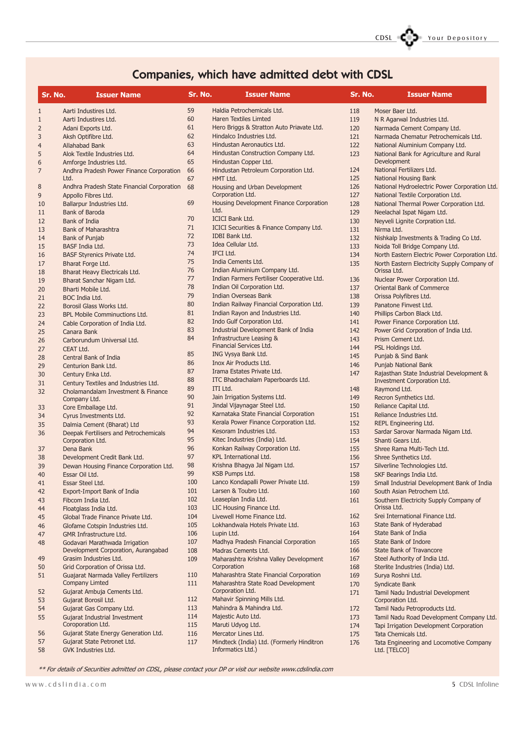

# Companies, which have admitted debt with CDSL

| Sr. No.        | <b>Issuer Name</b>                                                    | Sr. No.    | <b>Issuer Name</b>                                             | Sr. No.    | <b>Issuer Name</b>                                                       |
|----------------|-----------------------------------------------------------------------|------------|----------------------------------------------------------------|------------|--------------------------------------------------------------------------|
| $\mathbf{1}$   | Aarti Industires Ltd.                                                 | 59         | Haldia Petrochemicals Ltd.                                     | 118        | Moser Baer Ltd.                                                          |
| 1              | Aarti Industires Ltd.                                                 | 60         | <b>Haren Textiles Limted</b>                                   | 119        | N R Agarwal Industries Ltd.                                              |
| 2              | Adani Exports Ltd.                                                    | 61         | Hero Briggs & Stratton Auto Priavate Ltd.                      | 120        | Narmada Cement Company Ltd.                                              |
| 3              | Aksh Optifibre Ltd.                                                   | 62         | Hindalco Industries Ltd.                                       | 121        | Narmada Chematur Petrochemicals Ltd.                                     |
| $\overline{4}$ | Allahabad Bank                                                        | 63         | Hindustan Aeronautics Ltd.                                     | 122        | National Aluminium Company Ltd.                                          |
| 5              | Alok Textile Industries Ltd.                                          | 64         | Hindustan Construction Company Ltd.                            | 123        | National Bank for Agriculture and Rural                                  |
| 6              | Amforge Industries Ltd.                                               | 65         | Hindustan Copper Ltd.                                          |            | Development                                                              |
| 7              | Andhra Pradesh Power Finance Corporation                              | 66         | Hindustan Petroleum Corporation Ltd.                           | 124        | National Fertilizers Ltd.                                                |
|                | Ltd.                                                                  | 67         | HMT Ltd.                                                       | 125        | <b>National Housing Bank</b>                                             |
| 8              | Andhra Pradesh State Financial Corporation                            | 68         | Housing and Urban Development                                  | 126        | National Hydroelectric Power Corporation Ltd.                            |
| 9              | Appollo Fibres Ltd.                                                   |            | Corporation Ltd.                                               | 127        | National Textile Corporation Ltd.                                        |
| 10             | Ballarpur Industries Ltd.                                             | 69         | Housing Development Finance Corporation                        | 128        | National Thermal Power Corporation Ltd.                                  |
| 11             | <b>Bank of Baroda</b>                                                 |            | Ltd.                                                           | 129        | Neelachal Ispat Nigam Ltd.                                               |
| 12             | Bank of India                                                         | 70         | <b>ICICI Bank Ltd.</b>                                         | 130        | Neyveli Lignite Corpration Ltd.                                          |
| 13             | <b>Bank of Maharashtra</b>                                            | 71         | ICICI Securities & Finance Company Ltd.                        | 131        | Nirma Ltd.                                                               |
| 14             | Bank of Punjab                                                        | 72         | IDBI Bank Ltd.                                                 | 132        | Nishkalp Investments & Trading Co Ltd.                                   |
| 15             | BASF India Ltd.                                                       | 73         | Idea Cellular Ltd.                                             | 133        | Noida Toll Bridge Company Ltd.                                           |
| 16             | BASF Styrenics Private Ltd.                                           | 74         | IFCI Ltd.                                                      | 134        | North Eastern Electric Power Corporation Ltd.                            |
| 17             | Bharat Forge Ltd.                                                     | 75         | India Cements Ltd.                                             | 135        | North Eastern Electricity Supply Company of                              |
| 18             | Bharat Heavy Electricals Ltd.                                         | 76         | Indian Aluminium Company Ltd.                                  |            | Orissa Ltd.                                                              |
| 19             | Bharat Sanchar Nigam Ltd.                                             | 77         | Indian Farmers Fertiliser Cooperative Ltd.                     | 136        | Nuclear Power Corporation Ltd.                                           |
| 20             | Bharti Mobile Ltd.                                                    | 78         | Indian Oil Corporation Ltd.                                    | 137        | Oriental Bank of Commerce                                                |
| 21             | BOC India Ltd.                                                        | 79         | <b>Indian Overseas Bank</b>                                    | 138        | Orissa Polyfibres Ltd.                                                   |
| 22             | Borosil Glass Works Ltd.                                              | 80         | Indian Railway Financial Corporation Ltd.                      | 139        | Panatone Finvest Ltd.                                                    |
| 23             | <b>BPL Mobile Comminuctions Ltd.</b>                                  | 81         | Indian Rayon and Industries Ltd.                               | 140        | Phillips Carbon Black Ltd.                                               |
| 24             | Cable Corporation of India Ltd.                                       | 82         | Indo Gulf Corporation Ltd.                                     | 141        | Power Finance Corporation Ltd.                                           |
| 25             | Canara Bank                                                           | 83         | Industrial Development Bank of India                           | 142        | Power Grid Corporation of India Ltd.                                     |
| 26             | Carborundum Universal Ltd.                                            | 84         | <b>Infrastructure Leasing &amp;</b>                            | 143        | Prism Cement Ltd.                                                        |
| 27             | CEAT Ltd.                                                             |            | Financial Services Ltd.                                        | 144        | PSL Holdings Ltd.                                                        |
| 28             | Central Bank of India                                                 | 85         | ING Vysya Bank Ltd.                                            | 145        | Punjab & Sind Bank                                                       |
|                | Centurion Bank Ltd.                                                   | 86         | Inox Air Products Ltd.                                         | 146        | Punjab National Bank                                                     |
| 29             |                                                                       | 87         | Irama Estates Private Ltd.                                     | 147        | Rajasthan State Industrial Development &                                 |
| 30             | Century Enka Ltd.<br>Century Textiles and Industries Ltd.             | 88         | ITC Bhadrachalam Paperboards Ltd.                              |            | Investment Corporation Ltd.                                              |
| 31             |                                                                       | 89         | ITI Ltd.                                                       | 148        | Raymond Ltd.                                                             |
| 32             | Cholamandalam Investment & Finance<br>Company Ltd.                    | 90         | Jain Irrigation Systems Ltd.                                   | 149        | Recron Synthetics Ltd.                                                   |
| 33             | Core Emballage Ltd.                                                   | 91         | Jindal Vijaynagar Steel Ltd.                                   | 150        | Reliance Capital Ltd.                                                    |
| 34             | Cyrus Investments Ltd.                                                | 92         | Karnataka State Financial Corporation                          | 151        | Reliance Industries Ltd.                                                 |
|                |                                                                       | 93         | Kerala Power Finance Corporation Ltd.                          | 152        | REPL Engineering Ltd.                                                    |
| 35             | Dalmia Cement (Bharat) Ltd                                            | 94         | Kesoram Industries Ltd.                                        | 153        | Sardar Sarovar Narmada Nigam Ltd.                                        |
| 36             | Deepak Fertilisers and Petrochemicals<br>Corporation Ltd.             | 95         | Kitec Industries (India) Ltd.                                  | 154        | Shanti Gears Ltd.                                                        |
| 37             | Dena Bank                                                             | 96         | Konkan Railway Corporation Ltd.                                | 155        | Shree Rama Multi-Tech Ltd.                                               |
| 38             | Development Credit Bank Ltd.                                          | 97         | KPL International Ltd.                                         | 156        | Shree Synthetics Ltd.                                                    |
|                | Dewan Housing Finance Corporation Ltd.                                | 98         | Krishna Bhagya Jal Nigam Ltd.                                  | 157        | Silverline Technologies Ltd.                                             |
| 39<br>40       | Essar Oil Ltd.                                                        | 99         | KSB Pumps Ltd.                                                 | 158        | SKF Bearings India Ltd.                                                  |
|                |                                                                       | 100        | Lanco Kondapalli Power Private Ltd.                            |            |                                                                          |
| 41             | Essar Steel Ltd.                                                      | 101        | Larsen & Toubro Ltd.                                           | 159<br>160 | Small Industrial Development Bank of India<br>South Asian Petrochem Ltd. |
| 42             | Export-Import Bank of India                                           | 102        | Leaseplan India Ltd.                                           |            |                                                                          |
| 43             | Fibcom India Ltd.                                                     | 103        | LIC Housing Finance Ltd.                                       | 161        | Southern Electricity Supply Company of<br>Orissa Ltd.                    |
| 44             | Floatglass India Ltd.                                                 | 104        | Livewell Home Finance Ltd.                                     | 162        | Srei International Finance Ltd.                                          |
| 45             | Global Trade Finance Private Ltd.                                     | 105        | Lokhandwala Hotels Private Ltd.                                | 163        | State Bank of Hyderabad                                                  |
| 46             | Glofame Cotspin Industries Ltd.                                       |            |                                                                | 164        | State Bank of India                                                      |
| 47             | <b>GMR Infrastructure Ltd.</b>                                        | 106        | Lupin Ltd.                                                     | 165        |                                                                          |
| 48             | Godavari Marathwada Irrigation<br>Development Corporation, Aurangabad | 107        | Madhya Pradesh Financial Corporation                           | 166        | State Bank of Indore<br>State Bank of Travancore                         |
|                |                                                                       | 108        | Madras Cements Ltd.                                            |            |                                                                          |
| 49             | Grasim Industries Ltd.                                                | 109        | Maharashtra Krishna Valley Development<br>Corporation          | 167        | Steel Authority of India Ltd.                                            |
| 50             | Grid Corporation of Orissa Ltd.                                       |            |                                                                | 168        | Sterlite Industries (India) Ltd.                                         |
| 51             | Guajarat Narmada Valley Fertilizers                                   | 110        | Maharashtra State Financial Corporation                        | 169        | Surya Roshni Ltd.                                                        |
|                | <b>Company Limted</b>                                                 | 111        | Maharashtra State Road Development<br>Corporation Ltd.         | 170        | Syndicate Bank                                                           |
| 52             | Gujarat Ambuja Cements Ltd.                                           | 112        | Mahavir Spinning Mills Ltd.                                    | 171        | Tamil Nadu Industrial Development                                        |
| 53             | Gujarat Borosil Ltd.                                                  |            |                                                                |            | Corporation Ltd.                                                         |
| 54             | Gujarat Gas Company Ltd.                                              | 113<br>114 | Mahindra & Mahindra Ltd.                                       | 172        | Tamil Nadu Petroproducts Ltd.                                            |
| 55             | Gujarat Industrial Investment                                         |            | Majestic Auto Ltd.                                             | 173        | Tamil Nadu Road Development Company Ltd.                                 |
|                | Coroporation Ltd.                                                     | 115        | Maruti Udyog Ltd.                                              | 174        | Tapi Irrigation Development Corporation                                  |
| 56             | Gujarat State Energy Generation Ltd.                                  | 116        | Mercator Lines Ltd.                                            | 175        | Tata Chemicals Ltd.                                                      |
| 57             | Gujarat State Petronet Ltd.                                           | 117        | Mindteck (India) Ltd. (Formerly Hinditron<br>Informatics Ltd.) | 176        | Tata Engineering and Locomotive Company                                  |
| 58             | GVK Industries Ltd.                                                   |            |                                                                |            | Ltd. [TELCO]                                                             |

\*\* For details of Securities admitted on CDSL, please contact your DP or visit our website www.cdslindia.com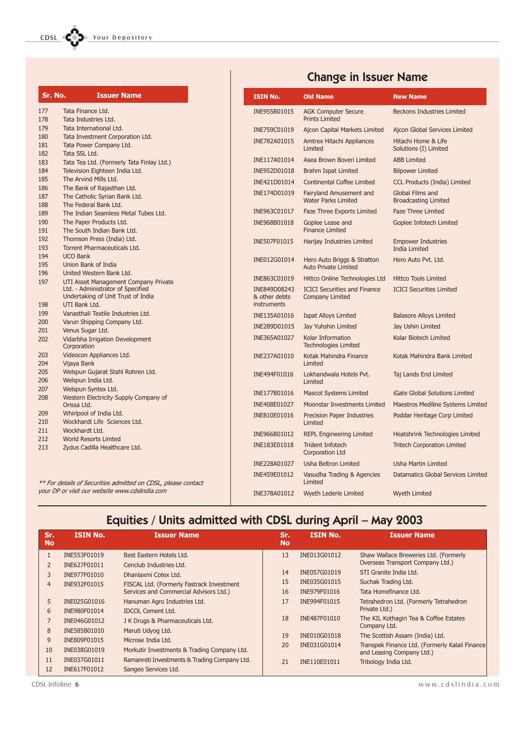| Sr. No.    | <b>Issuer Name</b>                                                                                                               | <b>ISIN No.</b>                              | <b>Old Name</b>                                               |
|------------|----------------------------------------------------------------------------------------------------------------------------------|----------------------------------------------|---------------------------------------------------------------|
| 177<br>178 | Tata Finance Ltd.<br>Tata Industries Ltd.                                                                                        | INE955B01015                                 | <b>AGK Computer Secure</b><br><b>Prints Limited</b>           |
| 179        | Tata International Ltd.                                                                                                          | INE759C01019                                 | Ajcon Capital Markets Limite                                  |
|            | Tata Investment Corporation Ltd.<br>Tata Power Company Ltd.                                                                      | INE782A01015                                 | Amtrex Hitachi Appliances<br>Limited                          |
| 182        | Tata SSL Ltd.                                                                                                                    | INE117A01014                                 | Asea Brown Boveri Limited                                     |
| 183<br>184 | Tata Tea Ltd. (Formerly Tata Finlay Ltd.)<br>Television Eighteen India Ltd.                                                      | INE952D01018                                 | <b>Brahm Ispat Limited</b>                                    |
|            | The Arvind Mills Ltd.                                                                                                            |                                              |                                                               |
|            | The Bank of Rajasthan Ltd.                                                                                                       | INE421D01014                                 | <b>Continental Coffee Limited</b>                             |
|            | The Catholic Syrian Bank Ltd.<br>The Federal Bank Ltd.                                                                           | INE174D01019                                 | Fairyland Amusement and<br><b>Water Parks Limited</b>         |
| 188<br>189 | The Indian Seamless Metal Tubes Ltd.                                                                                             | INE963C01017                                 | Faze Three Exports Limited                                    |
|            | The Paper Products Ltd.<br>The South Indian Bank Ltd.                                                                            | INE968B01018                                 | Goplee Lease and<br><b>Finance Limited</b>                    |
| 192<br>193 | Thomson Press (India) Ltd.<br>Torrent Pharmaceuticals Ltd.                                                                       | INE507F01015                                 | Harijay Industries Limited                                    |
|            | <b>UCO Bank</b><br>Union Bank of India                                                                                           | INE012G01014                                 | Hero Auto Briggs & Stratton<br><b>Auto Private Limited</b>    |
|            | United Western Bank Ltd.                                                                                                         | INE863C01019                                 | Hittco Online Technologies Lt                                 |
|            | UTI Asset Management Company Private<br>Ltd. - Administrator of Specified<br>Undertaking of Unit Trust of India<br>UTI Bank Ltd. | INE849D08243<br>& other debts<br>instruments | <b>ICICI Securities and Finance</b><br><b>Company Limited</b> |
|            | Vanasthali Textile Industries Ltd.                                                                                               | INE135A01016                                 | <b>Ispat Alloys Limited</b>                                   |
|            | Varun Shipping Company Ltd.                                                                                                      |                                              |                                                               |
|            | Venus Sugar Ltd.                                                                                                                 | INE289D01015                                 | Jay Yuhshin Limited                                           |
|            | Vidarbha Irrigation Development<br>Corporation                                                                                   | INE365A01027                                 | Kolar Information<br><b>Technologies Limited</b>              |
|            | Videocon Appliances Ltd.<br>Vijaya Bank                                                                                          | INE237A01010                                 | Kotak Mahindra Finance<br>Limited                             |
|            | Welspun Gujarat Stahl Rohren Ltd.<br>Welspun India Ltd.                                                                          | INE494F01016                                 | Lokhandwala Hotels Pvt.<br>Limited                            |
| 207<br>208 | Welspun Syntex Ltd.                                                                                                              | INE177B01016                                 | <b>Mascot Systems Limited</b>                                 |
|            | Western Electricity Supply Company of<br>Orissa Ltd.                                                                             | INE408E01027                                 | <b>Moonstar Investments Limite</b>                            |
|            | Whirlpool of India Ltd.                                                                                                          |                                              |                                                               |
|            | Wockhardt Life Sciences Ltd.                                                                                                     | INE810E01016                                 | <b>Precision Paper Industries</b><br>Limited                  |
| 211<br>212 | Wockhardt Ltd.                                                                                                                   | INE966B01012                                 | <b>REPL Engineering Limited</b>                               |
|            | <b>World Resorts Limted</b><br>Zydus Cadilla Healthcare Ltd.                                                                     | INE183E01018                                 | <b>Trident Infotech</b><br><b>Corporation Ltd</b>             |
|            |                                                                                                                                  | INE228A01027                                 | <b>Usha Beltron Limited</b>                                   |
|            | $- - -$                                                                                                                          | INE459E01012                                 | Vasudha Trading & Agencies                                    |

For details of Securities admitted on CDSL, please contact your DP or visit our website www.cdslindia.com

# Change in Issuer Name

| <b>ISIN No.</b>                              | <b>Old Name</b>                                               | <b>New Name</b>                                   |
|----------------------------------------------|---------------------------------------------------------------|---------------------------------------------------|
| INE955B01015                                 | <b>AGK Computer Secure</b><br><b>Prints Limited</b>           | <b>Beckons Industries Limited</b>                 |
| INE759C01019                                 | <b>Ajcon Capital Markets Limited</b>                          | Ajcon Global Services Limited                     |
| INE782A01015                                 | <b>Amtrex Hitachi Appliances</b><br>Limited                   | Hitachi Home & Life<br>Solutions (I) Limited      |
| INE117A01014                                 | Asea Brown Boveri Limited                                     | <b>ABB Limited</b>                                |
| INE952D01018                                 | <b>Brahm Ispat Limited</b>                                    | <b>Bilpower Limited</b>                           |
| INE421D01014                                 | <b>Continental Coffee Limited</b>                             | <b>CCL Products (India) Limited</b>               |
| INE174D01019                                 | Fairyland Amusement and<br><b>Water Parks Limited</b>         | Global Films and<br><b>Broadcasting Limited</b>   |
| INE963C01017                                 | Faze Three Exports Limited                                    | <b>Faze Three Limited</b>                         |
| INE968B01018                                 | Goplee Lease and<br><b>Finance Limited</b>                    | Goplee Infotech Limited                           |
| INE507F01015                                 | Harijay Industries Limited                                    | <b>Empower Industries</b><br><b>India Limited</b> |
| INE012G01014                                 | Hero Auto Briggs & Stratton<br><b>Auto Private Limited</b>    | Hero Auto Pvt. Ltd.                               |
| INE863C01019                                 | Hittco Online Technologies Ltd                                | <b>Hittco Tools Limited</b>                       |
| INE849D08243<br>& other debts<br>instruments | <b>ICICI Securities and Finance</b><br><b>Company Limited</b> | <b>ICICI Securities Limited</b>                   |
| INE135A01016                                 | <b>Ispat Alloys Limited</b>                                   | <b>Balasore Alloys Limited</b>                    |
| INE289D01015                                 | Jay Yuhshin Limited                                           | Jay Ushin Limited                                 |
| INE365A01027                                 | Kolar Information<br><b>Technologies Limited</b>              | Kolar Biotech Limited                             |
| INE237A01010                                 | Kotak Mahindra Finance<br>Limited                             | Kotak Mahindra Bank Limited                       |
| INE494F01016                                 | Lokhandwala Hotels Pvt.<br>Limited                            | Taj Lands End Limited                             |
| INE177B01016                                 | <b>Mascot Systems Limited</b>                                 | <b>iGate Global Solutions Limited</b>             |
| INE408E01027                                 | <b>Moonstar Investments Limited</b>                           | Maestros Mediline Systems Limited                 |
| INE810E01016                                 | <b>Precision Paper Industries</b><br>Limited                  | Poddar Heritage Corp Limited                      |
| INE966B01012                                 | <b>REPL Engineering Limited</b>                               | Heatshrink Technologies Limited                   |
| INE183E01018                                 | <b>Trident Infotech</b><br><b>Corporation Ltd</b>             | <b>Tritech Corporation Limited</b>                |
| INE228A01027                                 | <b>Usha Beltron Limited</b>                                   | <b>Usha Martin Limited</b>                        |
| INE459E01012                                 | Vasudha Trading & Agencies<br>Limited                         | Datamatics Global Services Limited                |
| INE378A01012                                 | <b>Wyeth Lederle Limited</b>                                  | <b>Wyeth Limited</b>                              |

# Equities / Units admitted with CDSL during April - May 2003

| Sr.<br><b>No</b> | <b>ISIN No.</b> | <b>Issuer Name</b>                           | Sr.<br><b>No</b> | <b>ISIN No.</b> | <b>Issuer Name</b>                                     |
|------------------|-----------------|----------------------------------------------|------------------|-----------------|--------------------------------------------------------|
|                  | INE553F01019    | Best Eastern Hotels Ltd.                     | 13               | INE013G01012    | Shaw Wallace Breweries Ltd. (Formerly                  |
|                  | INE627F01011    | Cenclub Industries Ltd.                      |                  |                 | Overseas Transport Company Ltd.)                       |
| 3                | INE977F01010    | Dhanlaxmi Cotex Ltd.                         | 14               | INE057G01019    | STI Granite India Ltd.                                 |
| $\overline{4}$   | INE932F01015    | FISCAL Ltd. (Formerly Fastrack Investment    | 15               | INE035G01015    | Suchak Trading Ltd.                                    |
|                  |                 | Services and Commercial Advisors Ltd.)       | 16               | INE979F01016    | Tata Homefinance Ltd.                                  |
| 5                | INE025G01016    | Hanuman Agro Industries Ltd.                 | 17               | INE994F01015    | Tetrahedron Ltd. (Formerly Tetrahedron                 |
| 6                | INE980F01014    | <b>IDCOL Cement Ltd.</b>                     |                  |                 | Private Ltd.)                                          |
|                  | INE046G01012    | J K Drugs & Pharmaceuticals Ltd.             | 18               | INE487F01010    | The KIL Kothagiri Tea & Coffee Estates<br>Company Ltd. |
| 8                | INE585B01010    | Maruti Udyog Ltd.                            | 19               | INE010G01018    | The Scottish Assam (India) Ltd.                        |
| 9                | INE809F01015    | Microse India Ltd.                           | 20               | INE031G01014    | Transpek Finance Ltd. (Formerly Kalali Finance)        |
| 10               | INE038G01019    | Morkutir Investments & Trading Company Ltd.  |                  |                 | and Leasing Company Ltd.)                              |
| 11               | INE037G01011    | Ramanreti Investments & Trading Company Ltd. | 21               | INE110E01011    | Tribology India Ltd.                                   |
| 12               | INE617F01012    | Sangeo Services Ltd.                         |                  |                 |                                                        |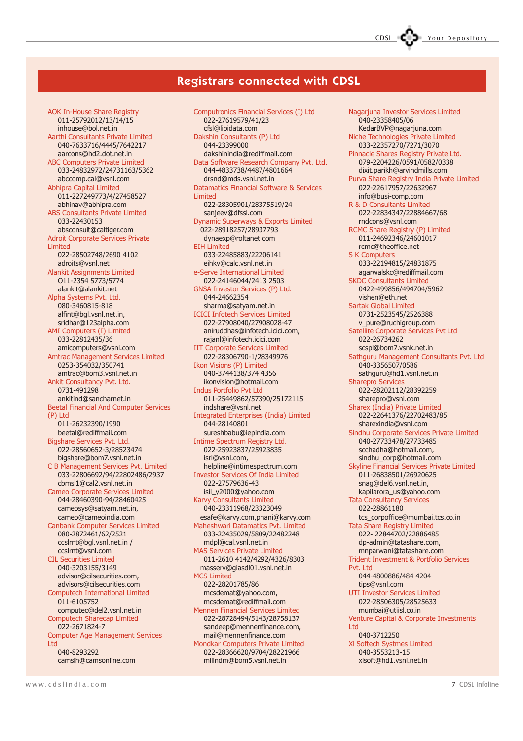### CDSL Your Depository

#### Registrars connected with CDSL

AOK In-House Share Registry 011-25792012/13/14/15 inhouse@bol.net.in Aarthi Consultants Private Limited 040-7633716/4445/7642217 aarcons@hd2.dot.net.in ABC Computers Private Limited 033-24832972/24731163/5362 abccomp.cal@vsnl.com Abhipra Capital Limited 011-227249773/4/27458527 abhinav@abhipra.com ABS Consultants Private Limited 033-22430153 absconsult@caltiger.com Adroit Corporate Services Private Limited 022-28502748/2690 4102 adroits@vsnl.net Alankit Assignments Limited O11-2354 5773/5774 alankit@alankit.net Alpha Systems Pvt. Ltd. 080-3460815-818 alfint@bgl.vsnl.net.in, sridhar@123alpha.com AMI Computers (I) Limited 033-22812435/36 amicomputers@vsnl.com Amtrac Management Services Limited 0253-354032/350741 amtrac@bom3.vsnl.net.in Ankit Consultancy Pvt. Ltd. 0731-491298 ankitind@sancharnet.in Beetal Financial And Computer Services (P) Ltd 011-26232390/1990 beetal@rediffmail.com Bigshare Services Pvt. Ltd. 022-28560652-3/28523474 bigshare@bom7.vsnl.net.in C B Management Services Pvt. Limited 033-22806692/94/22802486/2937 cbmsl1@cal2.vsnl.net.in Cameo Corporate Services Limited 044-28460390-94/28460425 cameosys@satyam.net.in, cameo@cameoindia.com Canbank Computer Services Limited 080-2872461/62/2521 ccslrnt@bgl.vsnl.net.in / ccslrnt@vsnl.com CIL Securities Limited 040-3203155/3149 advisor@cilsecurities.com, advisors@cilsecurities.com Computech International Limited 011-6105752 computec@del2.vsnl.net.in Computech Sharecap Limited 022-2671824-7 Computer Age Management Services Ltd 040-8293292 camslh@camsonline.com

Computronics Financial Services (I) Ltd 022-27619579/41/23 cfsl@lipidata.com Dakshin Consultants (P) Ltd 044-23399000 dakshinindia@rediffmail.com Data Software Research Company Pvt. Ltd. 044-4833738/4487/4801664 drsnd@mds.vsnl.net.in Datamatics Financial Software & Services Limited 022-28305901/28375519/24 sanjeev@dfssl.com Dynamic Superways & Exports Limited 022-28918257/28937793 dynaexp@roltanet.com EIH Limited 033-22485883/22206141 eihkv@calc.vsnl.net.in e-Serve International Limited 022-24146044/2413 2503 GNSA Investor Services (P) Ltd. 044-24662354 sharma@satyam.net.in ICICI Infotech Services Limited 022-27908040/27908028-47 aniruddhas@infotech.icici.com, rajanl@infotech.icici.com IIT Corporate Services Limited 022-28306790-1/28349976 Ikon Visions (P) Limited 040-3744138/374 4356 ikonvision@hotmail.com Indus Portfolio Pvt Ltd 011-25449862/57390/25172115 indshare@vsnl.net Integrated Enterprises (India) Limited 044-28140801 sureshbabu@iepindia.com Intime Spectrum Registry Ltd. 022-25923837/25923835 isrl@vsnl.com, helpline@intimespectrum.com Investor Services Of India Limited 022-27579636-43 isil\_y2000@yahoo.com Karvy Consultants Limited 040-23311968/23323049 esafe@karvy.com,phani@karvy.com Maheshwari Datamatics Pvt. Limited 033-22435029/5809/22482248 mdpl@cal.vsnl.net.in MAS Services Private Limited 011-2610 4142/4292/4326/8303 masserv@giasdl01.vsnl.net.in MCS Limited 022-28201785/86 mcsdemat@yahoo.com, mcsdemat@rediffmail.com Mennen Financial Services Limited 022-28728494/5143/28758137 sandeep@mennenfinance.com, mail@mennenfinance.com Mondkar Computers Private Limited 022-28366620/9704/28221966 milindm@bom5.vsnl.net.in

Nagarjuna Investor Services Limited 040-23358405/06 KedarBVP@nagarjuna.com Niche Technologies Private Limited 033-22357270/7271/3070 Pinnacle Shares Registry Private Ltd. 079-2204226/0591/0582/0338 dixit.parikh@arvindmills.com Purva Share Registry India Private Limited 022-22617957/22632967 info@busi-comp.com R & D Consultants Limited 022-22834347/22884667/68 rndcons@vsnl.com RCMC Share Registry (P) Limited 011-24692346/24601017 rcmc@theoffice.net S K Computers 033-22194815/24831875 agarwalskc@rediffmail.com SKDC Consultants Limited 0422-499856/494704/5962 vishen@eth.net Sartak Global Limited 0731-2523545/2526388 v\_pure@ruchigroup.com Satellite Corporate Services Pvt Ltd 022-26734262 scspl@bom7.vsnk.net.in Sathguru Management Consultants Pvt. Ltd 040-3356507/0586 sathguru@hd1.vsnl.net.in Sharepro Services 022-28202112/28392259 sharepro@vsnl.com Sharex (India) Private Limited 022-22641376/22702483/85 sharexindia@vsnl.com Sindhu Corporate Services Private Limited 040-27733478/27733485 scchadha@hotmail.com, sindhu\_corp@hotmail.com Skyline Financial Services Private Limited 011-26838501/26920625 snag@del6.vsnl.net.in, kapilarora\_us@yahoo.com Tata Consultancy Services 022-28861180 tcs\_corpoffice@mumbai.tcs.co.in Tata Share Registry Limited 022- 22844702/22886485 dp-admin@tatashare.com, mnparwani@tatashare.com Trident Investment & Portfolio Services Pvt. I td 044-4800886/484 4204 tips@vsnl.com UTI Investor Services Limited 022-28506305/28525633 mumbai@utiisl.co.in Venture Capital & Corporate Investments Ltd 040-3712250 Xl Softech Systmes Limited 040-3553213-15 xlsoft@hd1.vsnl.net.in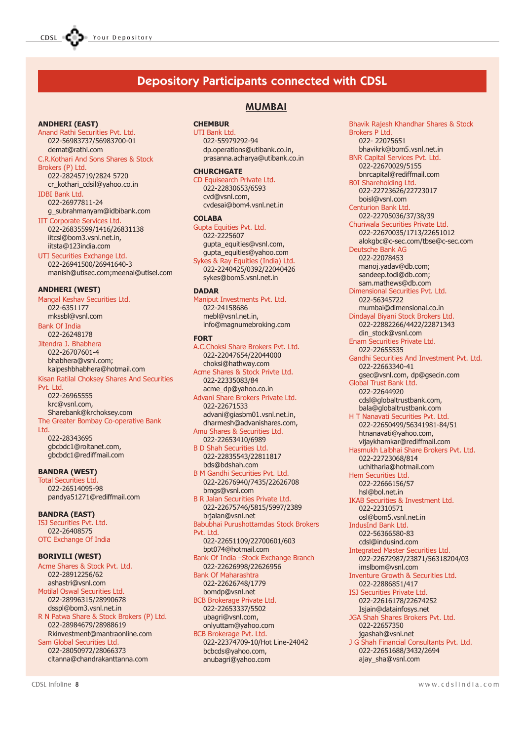### Depository Participants connected with CDSL

#### ANDHERI (EAST)

Anand Rathi Securities Pvt. Ltd. 022-56983737/56983700-01 demat@rathi.com

#### C.R.Kothari And Sons Shares & Stock Brokers (P) Ltd.

022-28245719/2824 5720 cr\_kothari\_cdsil@yahoo.co.in IDBI Bank Ltd.

022-26977811-24 g\_subrahmanyam@idbibank.com IIT Corporate Services Ltd.

022-26835599/1416/26831138 iitcsl@bom3.vsnl.net.in, iitsta@123india.com

UTI Securities Exchange Ltd. 022-26941500/26941640-3 manish@utisec.com;meenal@utisel.com

#### ANDHERI (WEST)

Mangal Keshav Securities Ltd. 022-6351177 mkssbl@vsnl.com Bank Of India 022-26248178 Jitendra J. Bhabhera 022-26707601-4 bhabhera@vsnl.com; kalpeshbhabhera@hotmail.com

Kisan Ratilal Choksey Shares And Securities Pvt. Ltd.

022-26965555 krc@vsnl.com, Sharebank@krchoksey.com The Greater Bombay Co-operative Bank

Ltd.

022-28343695 gbcbdc1@roltanet.com, gbcbdc1@rediffmail.com

#### BANDRA (WEST)

Total Securities Ltd. 022-26514095-98 pandya51271@rediffmail.com

BANDRA (EAST)

ISJ Securities Pvt. Ltd. 022-26408575 OTC Exchange Of India

#### BORIVILI (WEST)

Acme Shares & Stock Pvt. Ltd. 022-28912256/62 ashastri@vsnl.com Motilal Oswal Securities Ltd. 022-28996315/28990678 dsspl@bom3.vsnl.net.in R N Patwa Share & Stock Brokers (P) Ltd. 022-28984679/28988619 Rkinvestment@mantraonline.com

Sam Global Securities Ltd. 022-28050972/28066373 cltanna@chandrakanttanna.com

#### MUMBAI

#### **CHEMBUR**

UTI Bank Ltd. 022-55979292-94 dp.operations@utibank.co.in, prasanna.acharya@utibank.co.in

#### **CHURCHGATE**

CD Equisearch Private Ltd. 022-22830653/6593 cvd@vsnl.com, cvdesai@bom4.vsnl.net.in

#### COLABA

Gupta Equities Pvt. Ltd. 022-2225607 gupta\_equities@vsnl.com, gupta\_equities@yahoo.com Sykes & Ray Equities (India) Ltd. 022-2240425/0392/22040426 sykes@bom5.vsnl.net.in

#### **DADAR**

Maniput Investments Pvt. Ltd. 022-24158686 mebl@vsnl.net.in, info@magnumebroking.com

#### FORT

A.C.Choksi Share Brokers Pvt. Ltd. 022-22047654/22044000 choksi@hathway.com Acme Shares & Stock Privte Ltd. 022-22335083/84 acme\_dp@yahoo.co.in Advani Share Brokers Private Ltd. 022-22671533 advani@giasbm01.vsnl.net.in, dharmesh@advanishares.com, Amu Shares & Securities Ltd. 022-22653410/6989 B D Shah Securities Ltd. 022-22835543/22811817 bds@bdshah.com B M Gandhi Securities Pvt. Ltd. 022-22676940/7435/22626708 bmgs@vsnl.com B R Jalan Securities Private Ltd. 022-22675746/5815/5997/2389 brjalan@vsnl.net Babubhai Purushottamdas Stock Brokers Pvt. Ltd. 022-22651109/22700601/603 bpt074@hotmail.com Bank Of India - Stock Exchange Branch 022-22626998/22626956 Bank Of Maharashtra 022-22626748/1779 bomdp@vsnl.net BCB Brokerage Private Ltd. 022-22653337/5502 ubagri@vsnl.com, onlyuttam@yahoo.com BCB Brokerage Pvt. Ltd. 022-22374709-10/Hot Line-24042 bcbcds@yahoo.com, anubagri@yahoo.com

Bhavik Rajesh Khandhar Shares & Stock Brokers P Ltd. 022- 22075651 bhavikrk@bom5.vsnl.net.in BNR Capital Services Pvt. Ltd. 022-22670029/5155 bnrcapital@rediffmail.com B0I Shareholding Ltd. 022-22723626/22723017 boisl@vsnl.com Centurion Bank Ltd. 022-22705036/37/38/39 Churiwala Securities Private Ltd. 022-22670035/1713/22651012 alokgbc@c-sec.com/tbse@c-sec.com Deutsche Bank AG 022-22078453 manoj.yadav@db.com; sandeep.todi@db.com; sam.mathews@db.com Dimensional Securities Pvt. Ltd. 022-56345722 mumbai@dimensional.co.in Dindayal Biyani Stock Brokers Ltd. 022-22882266/4422/22871343 din\_stock@vsnl.com Enam Securities Private Ltd. 022-22655535 Gandhi Securities And Investment Pvt. Ltd. 022-22663340-41 gsec@vsnl.com, dp@gsecin.com Global Trust Bank Ltd. 022-22644920 cdsl@globaltrustbank.com, bala@globaltrustbank.com H T Nanavati Securities Pvt. Ltd. 022-22650499/56341981-84/51 htnanavati@yahoo.com, vijaykhamkar@rediffmail.com Hasmukh Lalbhai Share Brokers Pvt. Ltd. 022-22723068/814 uchitharia@hotmail.com Hem Securities Ltd. 022-22666156/57 hsl@bol.net.in IKAB Securities & Investment Ltd. 022-22310571 osl@bom5.vsnl.net.in IndusInd Bank Ltd. 022-56366580-83 cdsl@indusind.com Integrated Master Securities Ltd. 022-22672987/23871/56318204/03 imslbom@vsnl.com Inventure Growth & Securities Ltd. 022-22886851/417 ISJ Securities Private Ltd. 022-22616178/22674252 Isjain@datainfosys.net JGA Shah Shares Brokers Pvt. Ltd. 022-22657350 jgashah@vsnl.net J G Shah Financial Consultants Pvt. Ltd. 022-22651688/3432/2694 ajay\_sha@vsnl.com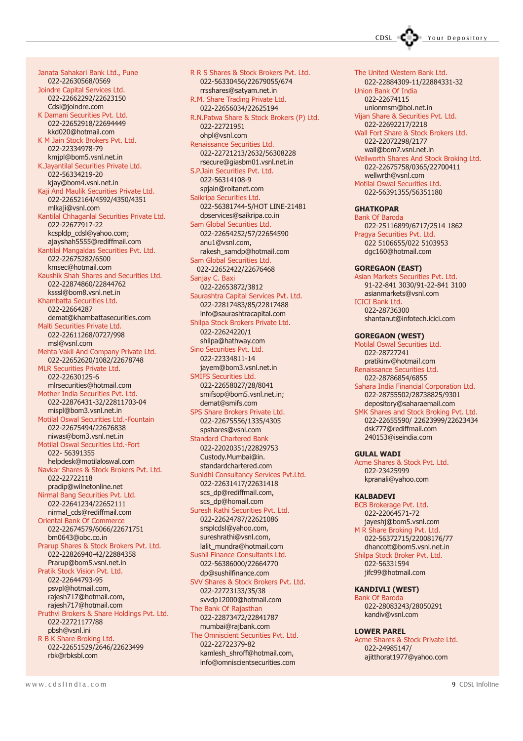Janata Sahakari Bank Ltd., Pune 022-22630568/0569 Joindre Capital Services Ltd. 022-22662292/22623150 Cdsl@joindre.com K Damani Securities Pvt. Ltd. 022-22652918/22694449 kkd020@hotmail.com K M Jain Stock Brokers Pvt. Ltd. 022-22334978-79 kmjpl@bom5.vsnl.net.in K.Jayantilal Securities Private Ltd. 022-56334219-20 kjay@bom4.vsnl.net.in Kaji And Maulik Securities Private Ltd. 022-22652164/4592/4350/4351 mlkaji@vsnl.com Kantilal Chhaganlal Securities Private Ltd. 022-22677917-22 kcspldp\_cdsl@yahoo.com; ajayshah5555@rediffmail.com Kantilal Mangaldas Securities Pvt. Ltd. 022-22675282/6500 kmsec@hotmail.com Kaushik Shah Shares and Securities Ltd. 022-22874860/22844762 ksssl@bom8.vsnl.net.in Khambatta Securities Ltd. 022-22664287 demat@khambattasecurities.com Malti Securities Private Ltd. 022-22611268/0727/998 msl@vsnl.com Mehta Vakil And Company Private Ltd. 022-22652620/1082/22678748 MLR Securities Private Ltd. 022-22630125-6 mlrsecurities@hotmail.com Mother India Securities Pvt. Ltd. 022-22876431-32/22811703-04 mispl@bom3.vsnl.net.in Motilal Oswal Securities Ltd.-Fountain 022-22675494/22676838 niwas@bom3.vsnl.net.in Motilal Oswal Securities Ltd.-Fort 022- 56391355 helpdesk@motilaloswal.com Navkar Shares & Stock Brokers Pvt. Ltd. 022-22722118 pradip@wilnetonline.net Nirmal Bang Securities Pvt. Ltd. 022-22641234/22652111 nirmal\_cds@rediffmail.com Oriental Bank Of Commerce 022-22674579/6066/22671751 bm0643@obc.co.in Prarup Shares & Stock Brokers Pvt. Ltd. 022-22826940-42/22884358 Prarup@bom5.vsnl.net.in Pratik Stock Vision Pvt. Ltd. 022-22644793-95 psvpl@hotmail.com, rajesh717@hotmail.com, rajesh717@hotmail.com Pruthvi Brokers & Share Holdings Pvt. Ltd. 022-22721177/88 pbsh@vsnl.ini R B K Share Broking Ltd.

022-22651529/2646/22623499 rbk@rbksbl.com

R R S Shares & Stock Brokers Pvt. Ltd. 022-56330456/22679055/674 rrsshares@satyam.net.in R.M. Share Trading Private Ltd. 022-22656034/22625194 R.N.Patwa Share & Stock Brokers (P) Ltd. 022-22721951 ohpl@vsnl.com Renaissance Securities Ltd. 022-22721213/2632/56308228 rsecure@giasbm01.vsnl.net.in S.P.Jain Securities Pvt. Ltd. 022-56314108-9 spjain@roltanet.com Saikripa Securities Ltd. 022-56381744-5/HOT LINE-21481 dpservices@saikripa.co.in Sam Global Securities Ltd. 022-22654252/57/22654590 anu1@vsnl.com, rakesh\_samdp@hotmail.com Sam Global Securities Ltd. 022-22652422/22676468 Sanjay C. Baxi 022-22653872/3812 Saurashtra Capital Services Pvt. Ltd. 022-22817483/85/22817488 info@saurashtracapital.com Shilpa Stock Brokers Private Ltd. 022-22624220/1 shilpa@hathway.com Sino Securities Pvt. Ltd. 022-22334811-14 jayem@bom3.vsnl.net.in SMIFS Securities Ltd. 022-22658027/28/8041 smifsop@bom5.vsnl.net.in; demat@smifs.com SPS Share Brokers Private Ltd. 022-22675556/1335/4305 spshares@vsnl.com Standard Chartered Bank 022-22020351/22829753 Custody.Mumbai@in. standardchartered.com Sunidhi Consultancy Services Pvt.Ltd. 022-22631417/22631418 scs\_dp@rediffmail.com, scs\_dp@homail.com Suresh Rathi Securities Pvt. Ltd. 022-22624787/22621086 srsplcdsl@yahoo.com, sureshrathi@vsnl.com, lalit\_mundra@hotmail.com Sushil Finance Consultants Ltd. 022-56386000/22664770 dp@sushilfinance.com SVV Shares & Stock Brokers Pvt. Ltd. 022-22723133/35/38 svvdp12000@hotmail.com The Bank Of Rajasthan 022-22873472/22841787 mumbai@rajbank.com The Omniscient Securities Pvt. Ltd. 022-22722379-82 kamlesh\_shroff@hotmail.com,

info@omniscientsecurities.com

CDSL Your Depository

The United Western Bank Ltd. 022-22884309-11/22884331-32 Union Bank Of India 022-22674115 unionmsm@bol.net.in Vijan Share & Securities Pvt. Ltd. 022-22692217/2218 Wall Fort Share & Stock Brokers Ltd. 022-22072298/2177 wall@bom7.vsnl.net.in Wellworth Shares And Stock Broking Ltd. 022-22675758/0365/22700411 wellwrth@vsnl.com Motilal Oswal Securities Ltd. 022-56391355/56351180 **GHATKOPAR** Bank Of Baroda 022-25116899/6717/2514 1862 Pragya Securities Pvt. Ltd. 022 5106655/022 5103953 dgc160@hotmail.com GOREGAON (EAST) Asian Markets Securities Pvt. Ltd. 91-22-841 3030/91-22-841 3100 asianmarkets@vsnl.com ICICI Bank Ltd. 022-28736300 shantanut@infotech.icici.com GOREGAON (WEST) Motilal Oswal Securities Ltd. 022-28727241 pratikinv@hotmail.com Renaissance Securities Ltd. 022-28786854/6855 Sahara India Financial Corporation Ltd. 022-28755502/28738825/9301 depository@saharaemail.com SMK Shares and Stock Broking Pvt. Ltd. 022-22655590/ 22623999/22623434 dsk777@rediffmail.com 240153@iseindia.com GULAL WADI Acme Shares & Stock Pvt. Ltd. 022-23425999 kpranali@yahoo.com

#### KALBADEVI

BCB Brokerage Pvt. Ltd. 022-22064571-72 jayeshj@bom5.vsnl.com M R Share Broking Pvt. Ltd. 022-56372715/22008176/77 dhancott@bom5.vsnl.net.in Shilpa Stock Broker Pvt. Ltd. 022-56331594 jifc99@hotmail.com

#### KANDIVLI (WEST)

Bank Of Baroda 022-28083243/28050291 kandiv@vsnl.com

#### LOWER PAREL

Acme Shares & Stock Private Ltd. 022-24985147/ ajitthorat1977@yahoo.com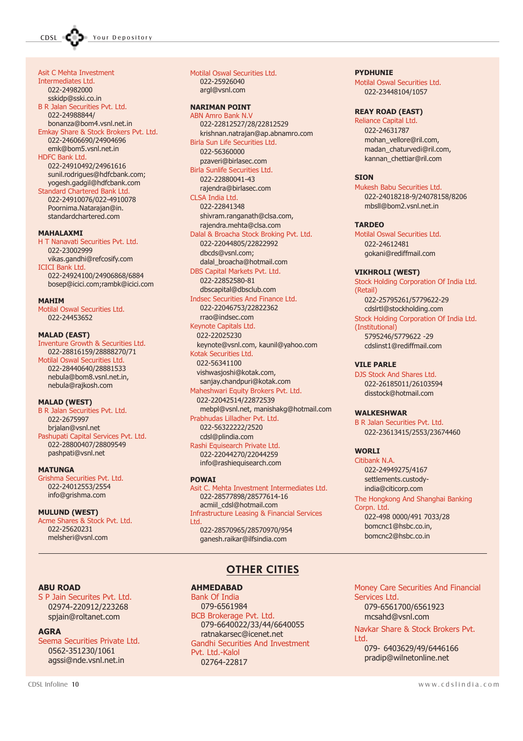Asit C Mehta Investment Intermediates Ltd. 022-24982000 sskidp@sski.co.in B R Jalan Securities Pvt. Ltd. 022-24988844/ bonanza@bom4.vsnl.net.in Emkay Share & Stock Brokers Pvt. Ltd. 022-24606690/24904696 emk@bom5.vsnl.net.in HDFC Bank Ltd. 022-24910492/24961616 sunil.rodrigues@hdfcbank.com; yogesh.gadgil@hdfcbank.com Standard Chartered Bank Ltd. 022-24910076/022-4910078 Poornima.Natarajan@in. standardchartered.com

#### MAHALAXMI

H T Nanavati Securities Pvt. Ltd. 022-23002999 vikas.gandhi@refcosify.com ICICI Bank Ltd. 022-24924100/24906868/6884 bosep@icici.com;rambk@icici.com

#### **MAHTM**

Motilal Oswal Securities Ltd. 022-24453652

#### MALAD (EAST)

Inventure Growth & Securities Ltd. 022-28816159/28888270/71 Motilal Oswal Securities Ltd. 022-28440640/28881533 nebula@bom8.vsnl.net.in, nebula@rajkosh.com

#### MALAD (WEST)

B R Jalan Securities Pvt. Ltd. 022-2675997 brjalan@vsnl.net Pashupati Capital Services Pvt. Ltd. 022-28800407/28809549 pashpati@vsnl.net

#### **MATUNGA**

Grishma Securities Pvt. Ltd. 022-24012553/2554 info@grishma.com

#### MULUND (WEST)

Acme Shares & Stock Pvt. Ltd. 022-25620231 melsheri@vsnl.com

Motilal Oswal Securities Ltd. 022-25926040 argl@vsnl.com

#### NARIMAN POINT

ABN Amro Bank N.V 022-22812527/28/22812529 krishnan.natrajan@ap.abnamro.com Birla Sun Life Securities Ltd. 022-56360000 pzaveri@birlasec.com Birla Sunlife Securities Ltd. 022-22880041-43 rajendra@birlasec.com CLSA India Ltd. 022-22841348 shivram.ranganath@clsa.com, rajendra.mehta@clsa.com Dalal & Broacha Stock Broking Pvt. Ltd. 022-22044805/22822992 dbcds@vsnl.com; dalal\_broacha@hotmail.com DBS Capital Markets Pvt. Ltd. 022-22852580-81 dbscapital@dbsclub.com Indsec Securities And Finance Ltd. 022-22046753/22822362 rrao@indsec.com Keynote Capitals Ltd. 022-22025230 keynote@vsnl.com, kaunil@yahoo.com Kotak Securities Ltd. 022-56341100

 vishwasjoshi@kotak.com, sanjay.chandpuri@kotak.com

#### Maheshwari Equity Brokers Pvt. Ltd.

 022-22042514/22872539 mebpl@vsnl.net, manishakg@hotmail.com Prabhudas Lilladher Pvt. Ltd. 022-56322222/2520

cdsl@plindia.com

Rashi Equisearch Private Ltd. 022-22044270/22044259 info@rashiequisearch.com

#### POWAI

Asit C. Mehta Investment Intermediates Ltd. 022-28577898/28577614-16 acmiil\_cdsl@hotmail.com Infrastructure Leasing & Financial Services Ltd. 022-28570965/28570970/954

ganesh.raikar@ilfsindia.com

#### OTHER CITIES

#### AHMEDABAD

Bank Of India 079-6561984 BCB Brokerage Pvt. Ltd. 079-6640022/33/44/6640055 ratnakarsec@icenet.net Gandhi Securities And Investment Pvt. Ltd.-Kalol 02764-22817

PYDHUNIE

Motilal Oswal Securities Ltd. 022-23448104/1057

#### REAY ROAD (EAST)

Reliance Capital Ltd. 022-24631787 mohan\_vellore@ril.com, madan\_chaturvedi@ril.com, kannan\_chettiar@ril.com

#### **STON**

Mukesh Babu Securities Ltd. 022-24018218-9/24078158/8206 mbsll@bom2.vsnl.net.in

#### TARDEO

Motilal Oswal Securities Ltd. 022-24612481 gokani@rediffmail.com

#### VIKHROLI (WEST)

Stock Holding Corporation Of India Ltd. (Retail) 022-25795261/5779622-29 cdslrtl@stockholding.com Stock Holding Corporation Of India Ltd. (Institutional) 5795246/5779622 -29 cdslinst1@rediffmail.com

#### VILE PARLE

DJS Stock And Shares Ltd. 022-26185011/26103594 disstock@hotmail.com

#### WALKESHWAR

B R Jalan Securities Pvt. Ltd. 022-23613415/2553/23674460

#### **WORLT**

Services Ltd.

Ltd.

Citibank N.A. 022-24949275/4167 settlements.custodyindia@citicorp.com The Hongkong And Shanghai Banking Corpn. Ltd. 022-498 0000/491 7033/28 bomcnc1@hsbc.co.in,

bomcnc2@hsbc.co.in

079-6561700/6561923 mcsahd@vsnl.com

Money Care Securities And Financial

Navkar Share & Stock Brokers Pvt.

079- 6403629/49/6446166 pradip@wilnetonline.net

#### ABU ROAD

S P Jain Securites Pvt. Ltd. 02974-220912/223268 spjain@roltanet.com

#### AGRA

Seema Securities Private Ltd. 0562-351230/1061 agssi@nde.vsnl.net.in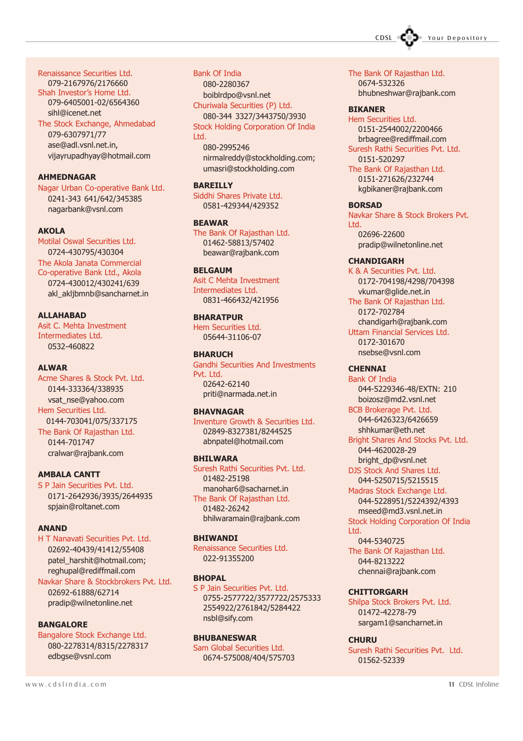CDSL **COD** Your Depository

Renaissance Securities Ltd.

079-2167976/2176660 Shah Investor's Home Ltd. 079-6405001-02/6564360 sihl@icenet.net

The Stock Exchange, Ahmedabad

079-6307971/77 ase@adl.vsnl.net.in, vijayrupadhyay@hotmail.com

#### AHMEDNAGAR

Nagar Urban Co-operative Bank Ltd. 0241-343 641/642/345385 nagarbank@vsnl.com

#### AKOLA

Motilal Oswal Securities Ltd. 0724-430795/430304 The Akola Janata Commercial Co-operative Bank Ltd., Akola 0724-430012/430241/639 akl akljbmnb@sancharnet.in

#### ALLAHABAD

Asit C. Mehta Investment Intermediates Ltd. 0532-460822

#### ALWAR

Acme Shares & Stock Pvt. Ltd. 0144-333364/338935 vsat\_nse@yahoo.com Hem Securities Ltd. 0144-703041/075/337175 The Bank Of Rajasthan Ltd. 0144-701747 cralwar@rajbank.com

#### AMBALA CANTT

S P Jain Securities Pvt. Ltd. 0171-2642936/3935/2644935 spjain@roltanet.com

#### **ANAND**

H T Nanavati Securities Pvt. Ltd. 02692-40439/41412/55408 patel\_harshit@hotmail.com; reghupal@rediffmail.com Navkar Share & Stockbrokers Pvt. Ltd.

02692-61888/62714 pradip@wilnetonline.net

#### BANGALORE

Bangalore Stock Exchange Ltd. 080-2278314/8315/2278317 edbgse@vsnl.com

#### Bank Of India

080-2280367 boiblrdpo@vsnl.net Churiwala Securities (P) Ltd. 080-344 3327/3443750/3930

Stock Holding Corporation Of India Ltd.

080-2995246 nirmalreddy@stockholding.com; umasri@stockholding.com

#### BAREILLY

Siddhi Shares Private Ltd. 0581-429344/429352

BEAWAR The Bank Of Rajasthan Ltd.

01462-58813/57402 beawar@rajbank.com

#### **BELGAUM**

Asit C Mehta Investment Intermediates Ltd. 0831-466432/421956

#### **BHARATPUR**

Hem Securities Ltd. 05644-31106-07

#### **BHADUCH**

Gandhi Securities And Investments Pvt. Ltd. 02642-62140 priti@narmada.net.in

#### **BHAVNAGAR**

Inventure Growth & Securities Ltd. 02849-8327381/8244525 abnpatel@hotmail.com

#### BHILWARA

Suresh Rathi Securities Pvt. Ltd. 01482-25198 manohar6@sacharnet.in The Bank Of Rajasthan Ltd. 01482-26242 bhilwaramain@rajbank.com

#### BHIWANDI

Renaissance Securities Ltd. 022-91355200

#### **BHOPAL**

S P Jain Securities Pvt. Ltd. 0755-2577722/3577722/2575333 2554922/2761842/5284422 nsbl@sify.com

#### BHUBANESWAR

Sam Global Securities Ltd. 0674-575008/404/575703 The Bank Of Rajasthan Ltd. 0674-532326 bhubneshwar@rajbank.com

#### BIKANER

Hem Securities Ltd. 0151-2544002/2200466 brbagree@rediffmail.com Suresh Rathi Securities Pvt. Ltd. 0151-520297 The Bank Of Rajasthan Ltd. 0151-271626/232744 kgbikaner@rajbank.com

#### BORSAD

Navkar Share & Stock Brokers Pvt. Ltd. 02696-22600 pradip@wilnetonline.net

#### **CHANDIGARH**

K & A Securities Pvt. Ltd. 0172-704198/4298/704398 vkumar@glide.net.in The Bank Of Rajasthan Ltd. 0172-702784 chandigarh@rajbank.com Uttam Financial Services Ltd. 0172-301670 nsebse@vsnl.com

#### **CHENNAI**

Bank Of India 044-5229346-48/EXTN: 210 boizosz@md2.vsnl.net BCB Brokerage Pvt. Ltd. 044-6426323/6426659 shhkumar@eth.net Bright Shares And Stocks Pvt. Ltd. 044-4620028-29 bright\_dp@vsnl.net DJS Stock And Shares Ltd. 044-5250715/5215515 Madras Stock Exchange Ltd. 044-5228951/5224392/4393 mseed@md3.vsnl.net.in Stock Holding Corporation Of India Ltd.

044-5340725 The Bank Of Rajasthan Ltd. 044-8213222 chennai@rajbank.com

#### **CHITTORGARH**

Shilpa Stock Brokers Pvt. Ltd. 01472-42278-79 sargam1@sancharnet.in

#### **CHURU**

Suresh Rathi Securities Pvt. Ltd. 01562-52339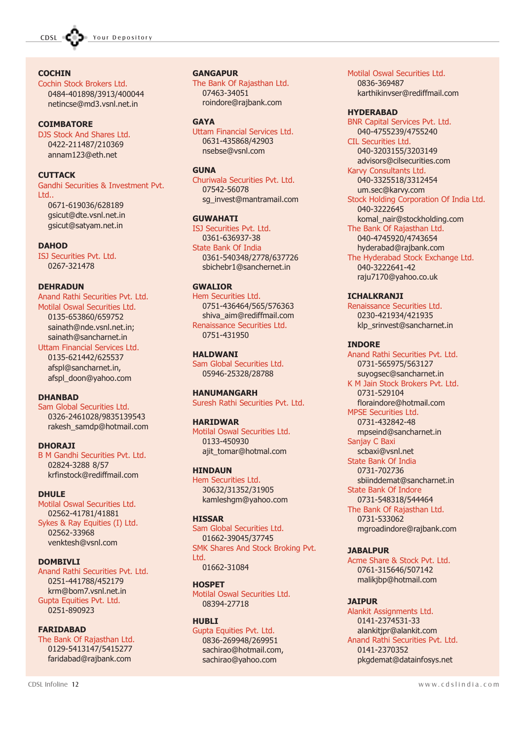

#### **COCHIN**

Cochin Stock Brokers Ltd. 0484-401898/3913/400044 netincse@md3.vsnl.net.in

#### **COIMBATORE**

DJS Stock And Shares Ltd. 0422-211487/210369 annam123@eth.net

#### **CUTTACK**

Gandhi Securities & Investment Pvt. Ltd..

0671-619036/628189 gsicut@dte.vsnl.net.in gsicut@satyam.net.in

#### **DAHOD**

ISJ Securities Pvt. Ltd. 0267-321478

#### DEHRADUN

Anand Rathi Securities Pvt. Ltd. Motilal Oswal Securities Ltd. 0135-653860/659752 sainath@nde.vsnl.net.in; sainath@sancharnet.in

Uttam Financial Services Ltd. 0135-621442/625537 afspl@sancharnet.in, afspl\_doon@yahoo.com

#### **DHANRAD**

Sam Global Securities Ltd. 0326-2461028/9835139543 rakesh\_samdp@hotmail.com

#### **DHORAJI**

B M Gandhi Securities Pvt. Ltd. 02824-3288 8/57 krfinstock@rediffmail.com

#### DHULE

Motilal Oswal Securities Ltd. 02562-41781/41881 Sykes & Ray Equities (I) Ltd. 02562-33968 venktesh@vsnl.com

#### DOMBIVLI

Anand Rathi Securities Pvt. Ltd. 0251-441788/452179 krm@bom7.vsnl.net.in Gupta Equities Pvt. Ltd. 0251-890923

#### FARIDABAD

The Bank Of Rajasthan Ltd. 0129-5413147/5415277 faridabad@rajbank.com

#### **GANGAPUR**

The Bank Of Rajasthan Ltd. 07463-34051 roindore@rajbank.com

#### **GAYA**

Uttam Financial Services Ltd. 0631-435868/42903 nsebse@vsnl.com

#### **GUNA**

Churiwala Securities Pvt. Ltd. 07542-56078 sg\_invest@mantramail.com

#### **GUWAHATI**

ISJ Securities Pvt. Ltd. 0361-636937-38 State Bank Of India 0361-540348/2778/637726 sbichebr1@sanchernet.in

#### GWALIOR

Hem Securities Ltd. 0751-436464/565/576363 shiva\_aim@rediffmail.com Renaissance Securities Ltd. 0751-431950

#### **HALDWANT**

Sam Global Securities Ltd. 05946-25328/28788

#### HANUMANGARH

Suresh Rathi Securities Pvt. Ltd.

#### HARIDWAR

Motilal Oswal Securities Ltd. 0133-450930 ajit\_tomar@hotmal.com

#### **HINDAUN**

Hem Securities Ltd. 30632/31352/31905 kamleshgm@yahoo.com

#### **HISSAR**

Sam Global Securities Ltd. 01662-39045/37745 SMK Shares And Stock Broking Pvt. Ltd. 01662-31084

#### **HOSPET**

Motilal Oswal Securities Ltd. 08394-27718

#### **HUBLI**

Gupta Equities Pvt. Ltd. 0836-269948/269951 sachirao@hotmail.com, sachirao@yahoo.com

Motilal Oswal Securities Ltd. 0836-369487

karthikinvser@rediffmail.com

#### HYDERABAD

BNR Capital Services Pvt. Ltd. 040-4755239/4755240 CIL Securities Ltd. 040-3203155/3203149 advisors@cilsecurities.com Karvy Consultants Ltd. 040-3325518/3312454 um.sec@karvy.com Stock Holding Corporation Of India Ltd. 040-3222645 komal\_nair@stockholding.com The Bank Of Rajasthan Ltd. 040-4745920/4743654 hyderabad@rajbank.com The Hyderabad Stock Exchange Ltd. 040-3222641-42 raju7170@yahoo.co.uk

#### ICHALKRANJI

Renaissance Securities Ltd. 0230-421934/421935 klp\_srinvest@sancharnet.in

#### INDORE

Anand Rathi Securities Pvt. Ltd. 0731-565975/563127 suyogsec@sancharnet.in K M Jain Stock Brokers Pvt. Ltd. 0731-529104 floraindore@hotmail.com MPSE Securities Ltd. 0731-432842-48 mpseind@sancharnet.in Sanjay C Baxi scbaxi@vsnl.net State Bank Of India 0731-702736 sbiinddemat@sancharnet.in State Bank Of Indore 0731-548318/544464 The Bank Of Rajasthan Ltd. 0731-533062 mgroadindore@rajbank.com

#### **JABALPUR**

Acme Share & Stock Pvt. Ltd. 0761-315646/507142 malikjbp@hotmail.com

#### JAIPUR

Alankit Assignments Ltd. 0141-2374531-33 alankitjpr@alankit.com Anand Rathi Securities Pvt. Ltd. 0141-2370352 pkgdemat@datainfosys.net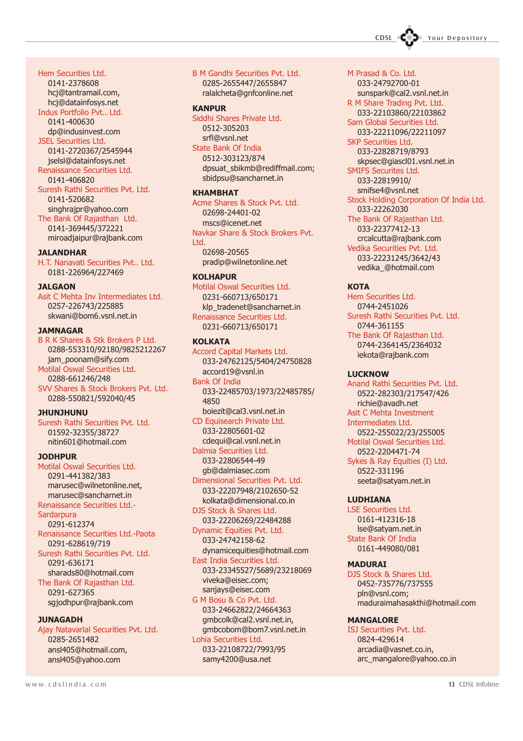CDSL COD Your Depository

Hem Securities Ltd. 0141-2378608 hcj@tantramail.com, hcj@datainfosys.net

#### Indus Portfolio Pvt.. Ltd.

0141-400630 dp@indusinvest.com JSEL Securities Ltd.

0141-2720367/2545944 jselsl@datainfosys.net Renaissance Securities Ltd.

0141-406820 Suresh Rathi Securities Pvt. Ltd. 0141-520682 singhrajpr@yahoo.com

The Bank Of Rajasthan Ltd. 0141-369445/372221 miroadjaipur@rajbank.com

#### **JALANDHAR**

H.T. Nanavati Securities Pvt.. Ltd. 0181-226964/227469

#### **JALGAON**

Asit C Mehta Inv Intermediates Ltd. 0257-226743/225885 skwani@bom6.vsnl.net.in

#### **JAMNAGAR**

B R K Shares & Stk Brokers P Ltd. 0288-553310/92180/9825212267 jam\_poonam@sify.com Motilal Oswal Securities Ltd.

0288-661246/248 SVV Shares & Stock Brokers Pvt. Ltd. 0288-550821/592040/45

#### JHUNJHUNU

Suresh Rathi Securities Pvt. Ltd. 01592-32355/38727 nitin601@hotmail.com

#### JODHPUR

Motilal Oswal Securities Ltd. 0291-441382/383 marusec@wilnetonline.net, marusec@sancharnet.in Renaissance Securities Ltd.- **Sardarpura** 0291-612374 Renaissance Securities Ltd.-Paota 0291-628619/719 Suresh Rathi Securities Pvt. Ltd. 0291-636171 sharads80@hotmail.com The Bank Of Rajasthan Ltd. 0291-627365 sgjodhpur@rajbank.com

#### **JUNAGADH**

Ajay Natavarlal Securities Pvt. Ltd. 0285-2651482 ansl405@hotmail.com, ansl405@yahoo.com

#### B M Gandhi Securities Pvt. Ltd. 0285-2655447/2655847 ralalcheta@gnfconline.net

#### **KANPUR**

Siddhi Shares Private Ltd. 0512-305203 srfl@vsnl.net State Bank Of India 0512-303123/874

dpsuat\_sbikmb@rediffmail.com; sbidpsu@sancharnet.in

#### KHAMBHAT

Acme Shares & Stock Pvt. Ltd. 02698-24401-02 mscs@icenet.net Navkar Share & Stock Brokers Pvt. Ltd. 02698-20565

pradip@wilnetonline.net

#### KOLHAPUR

Motilal Oswal Securities Ltd. 0231-660713/650171 klp\_tradenet@sancharnet.in Renaissance Securities Ltd. 0231-660713/650171

#### **KOLKATA**

Accord Capital Markets Ltd. 033-24762125/5404/24750828 accord19@vsnl.in Bank Of India 033-22485703/1973/22485785/ 4850 boiezit@cal3.vsnl.net.in CD Equisearch Private Ltd. 033-22805601-02 cdequi@cal.vsnl.net.in Dalmia Securities Ltd.

#### 033-22806544-49 gb@dalmiasec.com

Dimensional Securities Pvt. Ltd. 033-22207948/2102650-52 kolkata@dimensional.co.in DJS Stock & Shares Ltd.

033-22206269/22484288 Dynamic Equities Pvt. Ltd.

033-24742158-62 dynamicequities@hotmail.com

East India Securities Ltd. 033-23345527/5689/23218069 viveka@eisec.com; sanjays@eisec.com

G M Bosu & Co Pvt. Ltd. 033-24662822/24664363 gmbcolk@cal2.vsnl.net.in, gmbcobom@bom7.vsnl.net.in

Lohia Securities Ltd. 033-22108722/7993/95 samy4200@usa.net

M Prasad & Co. Ltd. 033-24792700-01 sunspark@cal2.vsnl.net.in R M Share Trading Pvt. Ltd. 033-22103860/22103862 Sam Global Securities Ltd. 033-22211096/22211097 SKP Securities Ltd. 033-22828719/8793 skpsec@giascl01.vsnl.net.in SMIFS Securites Ltd. 033-22819910/ smifse4@vsnl.net Stock Holding Corporation Of India Ltd. 033-22262030 The Bank Of Rajasthan Ltd. 033-22377412-13 crcalcutta@rajbank.com Vedika Securities Pvt. Ltd. 033-22231245/3642/43 vedika\_@hotmail.com

#### **KOTA**

Hem Securities Ltd. 0744-2451026 Suresh Rathi Securities Pvt. Ltd. 0744-361155 The Bank Of Rajasthan Ltd. 0744-2364145/2364032 iekota@rajbank.com

#### **LUCKNOW**

Anand Rathi Securities Pvt. Ltd. 0522-282303/217547/426 richie@avadh.net Asit C Mehta Investment Intermediates Ltd. 0522-255022/23/255005 Motilal Oswal Securities Ltd. 0522-2204471-74 Sykes & Ray Equities (I) Ltd. 0522-331196 seeta@satyam.net.in

#### LUDHIANA

LSE Securities Ltd. 0161-412316-18 lse@satyam.net.in State Bank Of India 0161-449080/081

#### MADURAI

DJS Stock & Shares Ltd. 0452-735776/737555 pln@vsnl.com; maduraimahasakthi@hotmail.com

#### **MANGALORE**

ISJ Securities Pvt. Ltd. 0824-429614 arcadia@vasnet.co.in, arc\_mangalore@yahoo.co.in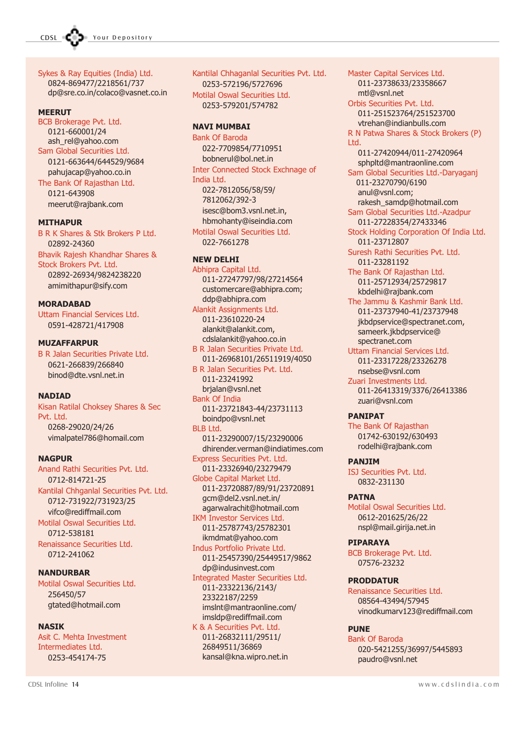

Sykes & Ray Equities (India) Ltd. 0824-869477/2218561/737 dp@sre.co.in/colaco@vasnet.co.in

#### **MEERUT**

BCB Brokerage Pvt. Ltd. 0121-660001/24 ash\_rel@yahoo.com Sam Global Securities Ltd. 0121-663644/644529/9684 pahujacap@yahoo.co.in The Bank Of Rajasthan Ltd. 0121-643908 meerut@rajbank.com

MITHAPUR

B R K Shares & Stk Brokers P Ltd. 02892-24360 Bhavik Rajesh Khandhar Shares & Stock Brokers Pvt. Ltd. 02892-26934/9824238220 amimithapur@sify.com

#### **MORADABAD**

Uttam Financial Services Ltd. 0591-428721/417908

#### MUZAFFARPUR

B R Jalan Securities Private Ltd. 0621-266839/266840 binod@dte.vsnl.net.in

#### **NADIAD**

Kisan Ratilal Choksey Shares & Sec Pvt. Ltd. 0268-29020/24/26 vimalpatel786@homail.com

#### **NAGPUR**

Anand Rathi Securities Pvt. Ltd. 0712-814721-25 Kantilal Chhganlal Securities Pvt. Ltd. 0712-731922/731923/25 vifco@rediffmail.com Motilal Oswal Securities Ltd. 0712-538181 Renaissance Securities Ltd. 0712-241062

NANDURBAR Motilal Oswal Securities Ltd. 256450/57 gtated@hotmail.com

#### **NASTK**

Asit C. Mehta Investment Intermediates Ltd. 0253-454174-75

Kantilal Chhaganlal Securities Pvt. Ltd. 0253-572196/5727696 Motilal Oswal Securities Ltd. 0253-579201/574782

#### NAVI MUMBAI

Bank Of Baroda 022-7709854/7710951 bobnerul@bol.net.in Inter Connected Stock Exchnage of India Ltd. 022-7812056/58/59/ 7812062/392-3 isesc@bom3.vsnl.net.in, hbmohanty@iseindia.com Motilal Oswal Securities Ltd. 022-7661278

#### NEW DELHI

Abhipra Capital Ltd. 011-27247797/98/27214564 customercare@abhipra.com; ddp@abhipra.com Alankit Assignments Ltd. 011-23610220-24 alankit@alankit.com, cdslalankit@yahoo.co.in B R Jalan Securities Private Ltd. 011-26968101/26511919/4050 B R Jalan Securities Pvt. Ltd. 011-23241992 brjalan@vsnl.net Bank Of India 011-23721843-44/23731113 boindpo@vsnl.net BLB Ltd. 011-23290007/15/23290006 dhirender.verman@indiatimes.com Express Securities Pvt. Ltd. 011-23326940/23279479 Globe Capital Market Ltd. 011-23720887/89/91/23720891 gcm@del2.vsnl.net.in/ agarwalrachit@hotmail.com IKM Investor Services Ltd. 011-25787743/25782301 ikmdmat@yahoo.com Indus Portfolio Private Ltd. 011-25457390/25449517/9862 dp@indusinvest.com Integrated Master Securities Ltd. 011-23322136/2143/ 23322187/2259 imslnt@mantraonline.com/ imsldp@rediffmail.com

K & A Securities Pvt. Ltd. 011-26832111/29511/ 26849511/36869 kansal@kna.wipro.net.in

011-23738633/23358667 mtl@vsnl.net Orbis Securities Pvt. Ltd. 011-251523764/251523700 vtrehan@indianbulls.com R N Patwa Shares & Stock Brokers (P) Ltd. 011-27420944/011-27420964 sphpltd@mantraonline.com Sam Global Securities Ltd.-Daryaganj 011-23270790/6190 anul@vsnl.com; rakesh\_samdp@hotmail.com Sam Global Securities Ltd.-Azadpur 011-27228354/27433346 Stock Holding Corporation Of India Ltd. 011-23712807 Suresh Rathi Securities Pvt. Ltd. 011-23281192 The Bank Of Rajasthan Ltd. 011-25712934/25729817 kbdelhi@rajbank.com The Jammu & Kashmir Bank Ltd. 011-23737940-41/23737948 jkbdpservice@spectranet.com, sameerk.jkbdpservice@ spectranet.com Uttam Financial Services Ltd. 011-23317228/23326278 nsebse@vsnl.com Zuari Investments Ltd. 011-26413319/3376/26413386 zuari@vsnl.com

Master Capital Services Ltd.

#### PANIPAT

The Bank Of Rajasthan 01742-630192/630493 rodelhi@rajbank.com

#### PANJIM

ISJ Securities Pvt. Ltd. 0832-231130

#### PATNA

Motilal Oswal Securities Ltd. 0612-201625/26/22 nspl@mail.girija.net.in

#### PIPARAYA

BCB Brokerage Pvt. Ltd. 07576-23232

#### PRODDATUR

Renaissance Securities Ltd. 08564-43494/57945 vinodkumarv123@rediffmail.com

#### **PUNE**

Bank Of Baroda 020-5421255/36997/5445893 paudro@vsnl.net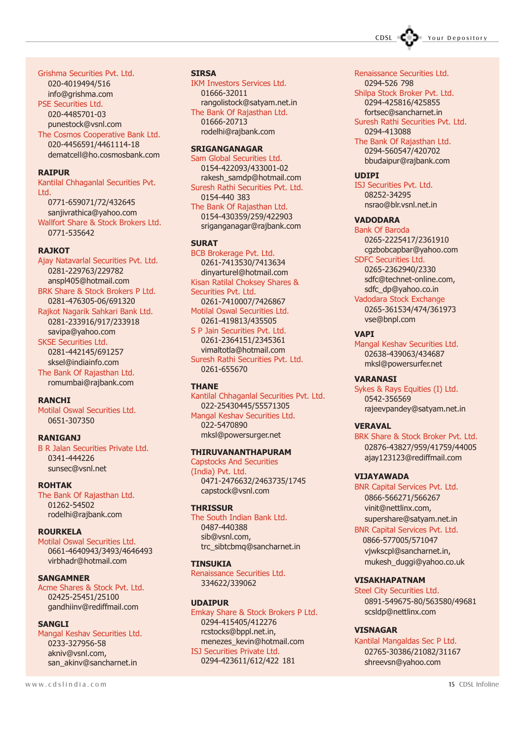CDSL COD Your Depository

#### Grishma Securities Pvt. Ltd.

020-4019494/516 info@grishma.com PSE Securities Ltd. 020-4485701-03 punestock@vsnl.com The Cosmos Cooperative Bank Ltd. 020-4456591/4461114-18 dematcell@ho.cosmosbank.com

#### **RATPUR**

Kantilal Chhaganlal Securities Pvt. Ltd. 0771-659071/72/432645 sanjivrathica@yahoo.com Wallfort Share & Stock Brokers Ltd. 0771-535642

#### **RA<sub>1</sub>KOT</sub>**

Ajay Natavarlal Securities Pvt. Ltd. 0281-229763/229782 anspl405@hotmail.com BRK Share & Stock Brokers P Ltd.

0281-476305-06/691320 Rajkot Nagarik Sahkari Bank Ltd. 0281-233916/917/233918 savipa@yahoo.com

SKSE Securities Ltd. 0281-442145/691257 sksel@indiainfo.com The Bank Of Rajasthan Ltd. romumbai@rajbank.com

#### RANCHI

Motilal Oswal Securities Ltd. 0651-307350

#### RANIGANJ

B R Jalan Securities Private Ltd. 0341-444226 sunsec@vsnl.net

ROHTAK The Bank Of Rajasthan Ltd. 01262-54502 rodelhi@rajbank.com

ROURKELA Motilal Oswal Securities Ltd. 0661-4640943/3493/4646493 virbhadr@hotmail.com

SANGAMNER Acme Shares & Stock Pvt. Ltd. 02425-25451/25100 gandhiinv@rediffmail.com

SANGLI Mangal Keshav Securities Ltd. 0233-327956-58 akniv@vsnl.com, san\_akinv@sancharnet.in

**SIRSA** IKM Investors Services Ltd.

01666-32011 rangolistock@satyam.net.in The Bank Of Rajasthan Ltd. 01666-20713 rodelhi@rajbank.com

#### SRIGANGANAGAR

Sam Global Securities Ltd. 0154-422093/433001-02 rakesh\_samdp@hotmail.com Suresh Rathi Securities Pvt. Ltd. 0154-440 383 The Bank Of Rajasthan Ltd.

0154-430359/259/422903 sriganganagar@rajbank.com

#### **SURAT**

BCB Brokerage Pvt. Ltd. 0261-7413530/7413634 dinyarturel@hotmail.com Kisan Ratilal Choksey Shares & Securities Pvt. Ltd. 0261-7410007/7426867 Motilal Oswal Securities Ltd. 0261-419813/435505 S P Jain Securities Pvt. Ltd. 0261-2364151/2345361 vimaltotla@hotmail.com

Suresh Rathi Securities Pvt. Ltd. 0261-655670

#### **THANE**

Kantilal Chhaganlal Securities Pvt. Ltd. 022-25430445/55571305 Mangal Keshav Securities Ltd. 022-5470890 mksl@powersurger.net

#### THIRUVANANTHAPURAM

Capstocks And Securities (India) Pvt. Ltd. 0471-2476632/2463735/1745 capstock@vsnl.com

#### **THRISSUR**

The South Indian Bank Ltd. 0487-440388 sib@vsnl.com, trc\_sibtcbmq@sancharnet.in

#### TINSUKIA

Renaissance Securities Ltd. 334622/339062

#### UDAIPUR

Emkay Share & Stock Brokers P Ltd. 0294-415405/412276 rcstocks@bppl.net.in, menezes\_kevin@hotmail.com ISJ Securities Private Ltd. 0294-423611/612/422 181

#### Renaissance Securities Ltd.

0294-526 798 Shilpa Stock Broker Pvt. Ltd. 0294-425816/425855

fortsec@sancharnet.in Suresh Rathi Securities Pvt. Ltd. 0294-413088

The Bank Of Rajasthan Ltd. 0294-560547/420702 bbudaipur@rajbank.com

#### UDIPI

ISJ Securities Pvt. Ltd. 08252-34295 nsrao@blr.vsnl.net.in

#### VADODARA

Bank Of Baroda 0265-2225417/2361910 cgzbobcapbar@yahoo.com SDFC Securities Ltd. 0265-2362940/2330 sdfc@technet-online.com, sdfc\_dp@yahoo.co.in Vadodara Stock Exchange

0265-361534/474/361973 vse@bnpl.com

#### VAPI

Mangal Keshav Securities Ltd. 02638-439063/434687 mksl@powersurfer.net

#### VARANASI

Sykes & Rays Equities (I) Ltd. 0542-356569 rajeevpandey@satyam.net.in

#### **VERAVAL**

BRK Share & Stock Broker Pvt. Ltd. 02876-43827/959/41759/44005 ajay123123@rediffmail.com

#### VIJAYAWADA

BNR Capital Services Pvt. Ltd. 0866-566271/566267 vinit@nettlinx.com, supershare@satyam.net.in

BNR Capital Services Pvt. Ltd. 0866-577005/571047 vjwkscpl@sancharnet.in, mukesh\_duggi@yahoo.co.uk

#### VISAKHAPATNAM

Steel City Securities Ltd. 0891-549675-80/563580/49681 scsldp@nettlinx.com

#### VISNAGAR

Kantilal Mangaldas Sec P Ltd. 02765-30386/21082/31167 shreevsn@yahoo.com